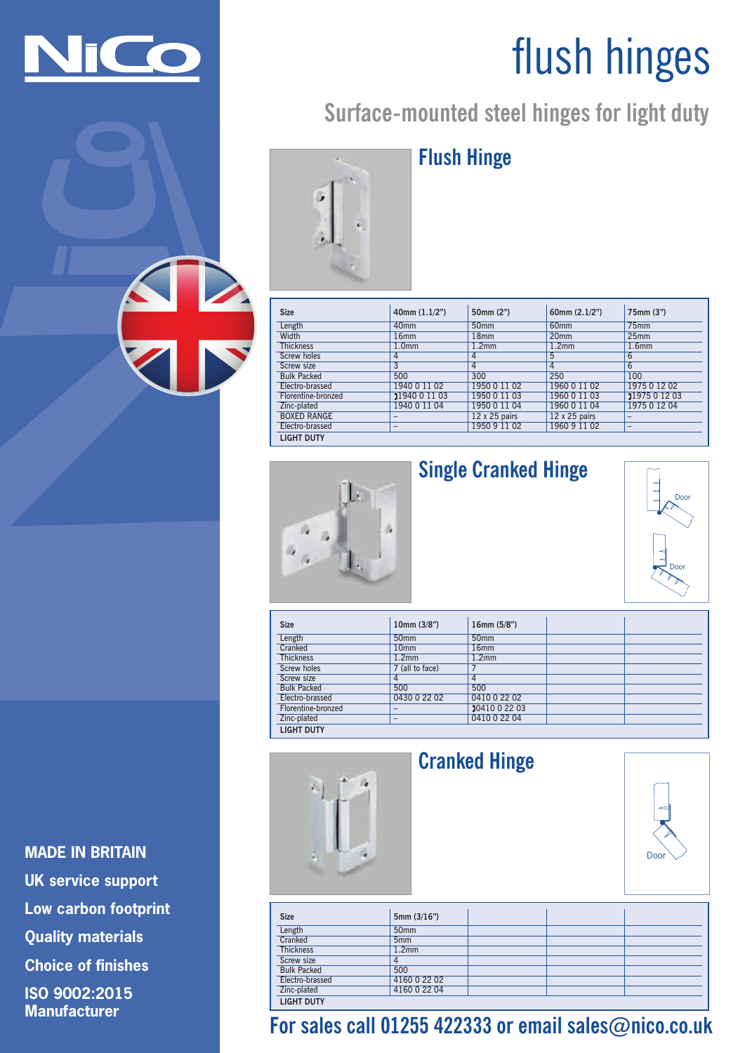

# flush hinges

# **Surface-mounted steel hinges for light duty**



# **Flush Hinge**

| <b>Size</b>        | 40mm(1.1/2")             | 50mm (2")            | 60mm $(2.1/2")$      | 75mm (3")                |
|--------------------|--------------------------|----------------------|----------------------|--------------------------|
| Length             | 40 <sub>mm</sub>         | 50 <sub>mm</sub>     | 60 <sub>mm</sub>     | 75mm                     |
| Width              | 16 <sub>mm</sub>         | 18 <sub>mm</sub>     | 20 <sub>mm</sub>     | 25mm                     |
| <b>Thickness</b>   | 1.0 <sub>mm</sub>        | 1.2 <sub>mm</sub>    | 1.2 <sub>mm</sub>    | 1.6 <sub>mm</sub>        |
| Screw holes        | 4                        | 4                    | 5                    | 6                        |
| Screw size         | 3                        | 4                    | 4                    | $6\overline{6}$          |
| <b>Bulk Packed</b> | 500                      | 300                  | 250                  | 100                      |
| Electro-brassed    | 1940 0 11 02             | 1950 0 11 02         | 1960 0 11 02         | 1975 0 12 02             |
| Florentine-bronzed | 21940 0 11 03            | 1950 0 11 03         | 1960 0 11 03         | 21975 0 12 03            |
| Zinc-plated        | 1940 0 11 04             | 1950 0 11 04         | 1960 0 11 04         | 1975 0 12 04             |
| <b>BOXED RANGE</b> |                          | $12 \times 25$ pairs | $12 \times 25$ pairs |                          |
| Electro-brassed    | $\overline{\phantom{a}}$ | 1950 9 11 02         | 1960 9 11 02         | $\overline{\phantom{a}}$ |
| <b>LIGHT DUTY</b>  |                          |                      |                      |                          |



# **Single Cranked Hinge**



| <b>Size</b>        | 10mm (3/8")              | 16mm (5/8")       |  |  |
|--------------------|--------------------------|-------------------|--|--|
| Length             | 50 <sub>mm</sub>         | 50 <sub>mm</sub>  |  |  |
| Cranked            | 10 <sub>mm</sub>         | 16 <sub>mm</sub>  |  |  |
| <b>Thickness</b>   | 1.2 <sub>mm</sub>        | 1.2 <sub>mm</sub> |  |  |
| <b>Screw holes</b> | 7 (all to face)          |                   |  |  |
| <b>Screw size</b>  | 4                        | $\overline{4}$    |  |  |
| <b>Bulk Packed</b> | 500                      | 500               |  |  |
| Electro-brassed    | 0430 0 22 02             | 0410 0 22 02      |  |  |
| Florentine-bronzed | $\overline{\phantom{0}}$ | 2041002203        |  |  |
| Zinc-plated        | $\overline{\phantom{a}}$ | 0410 0 22 04      |  |  |
| <b>LIGHT DUTY</b>  |                          |                   |  |  |



# **Cranked Hinge**



| <b>Size</b>        | 5mm(3/16")        |  |  |
|--------------------|-------------------|--|--|
| Length             | 50 <sub>mm</sub>  |  |  |
| Cranked            | 5 <sub>mm</sub>   |  |  |
| <b>Thickness</b>   | 1.2 <sub>mm</sub> |  |  |
| Screw size         |                   |  |  |
| <b>Bulk Packed</b> | 500               |  |  |
| Electro-brassed    | 4160 0 22 02      |  |  |
| Zinc-plated        | 4160 0 22 04      |  |  |
| <b>LIGHT DUTY</b>  |                   |  |  |

# **For sales call 01255 422333 or email sales@nico.co.uk**

**MADE IN BRITAIN UK service support Low carbon footprint Quality materials Choice of finishes ISO 9002:2015 Manufacturer**